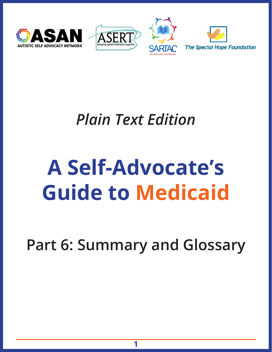





### *Plain Text Edition*

## **A Self-Advocate's Guide to Medicaid**

**Part 6: Summary and Glossary**

**1**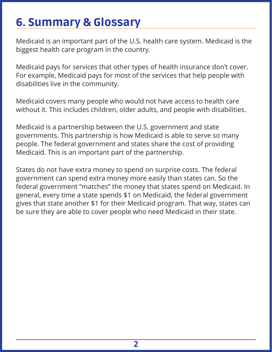#### 6. Summary & Glossary

Medicaid is an important part of the U.S. health care system. Medicaid is the biggest health care program in the country.

Medicaid pays for services that other types of health insurance don't cover. For example, Medicaid pays for most of the services that help people with disabilities live in the community.

Medicaid covers many people who would not have access to health care without it. This includes children, older adults, and people with disabilities.

Medicaid is a partnership between the U.S. government and state governments. This partnership is how Medicaid is able to serve so many people. The federal government and states share the cost of providing Medicaid. This is an important part of the partnership.

States do not have extra money to spend on surprise costs. The federal government can spend extra money more easily than states can. So the federal government "matches" the money that states spend on Medicaid. In general, every time a state spends \$1 on Medicaid, the federal government gives that state another \$1 for their Medicaid program. That way, states can be sure they are able to cover people who need Medicaid in their state.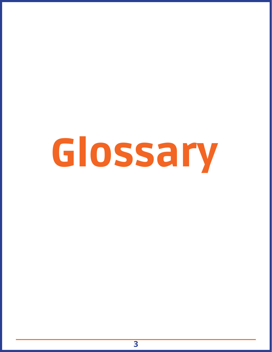# Glossary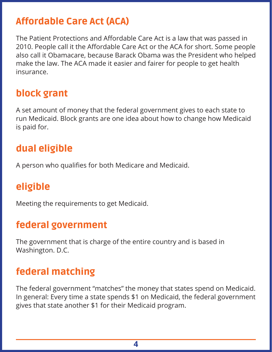#### Affordable Care Act (ACA)

The Patient Protections and Affordable Care Act is a law that was passed in 2010. People call it the Affordable Care Act or the ACA for short. Some people also call it Obamacare, because Barack Obama was the President who helped make the law. The ACA made it easier and fairer for people to get health insurance.

#### block grant

A set amount of money that the federal government gives to each state to run Medicaid. Block grants are one idea about how to change how Medicaid is paid for.

#### dual eligible

A person who qualifies for both Medicare and Medicaid.

#### eligible

Meeting the requirements to get Medicaid.

#### federal government

The government that is charge of the entire country and is based in Washington. D.C.

#### federal matching

The federal government "matches" the money that states spend on Medicaid. In general: Every time a state spends \$1 on Medicaid, the federal government gives that state another \$1 for their Medicaid program.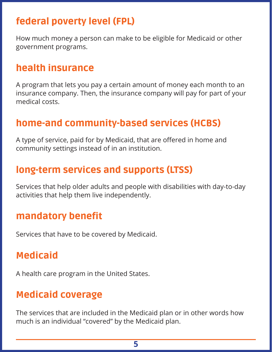#### federal poverty level (FPL)

How much money a person can make to be eligible for Medicaid or other government programs.

#### health insurance

A program that lets you pay a certain amount of money each month to an insurance company. Then, the insurance company will pay for part of your medical costs.

#### home-and community-based services (HCBS)

A type of service, paid for by Medicaid, that are offered in home and community settings instead of in an institution.

#### long-term services and supports (LTSS)

Services that help older adults and people with disabilities with day-to-day activities that help them live independently.

#### mandatory benefit

Services that have to be covered by Medicaid.

#### Medicaid

A health care program in the United States.

#### Medicaid coverage

The services that are included in the Medicaid plan or in other words how much is an individual "covered" by the Medicaid plan.